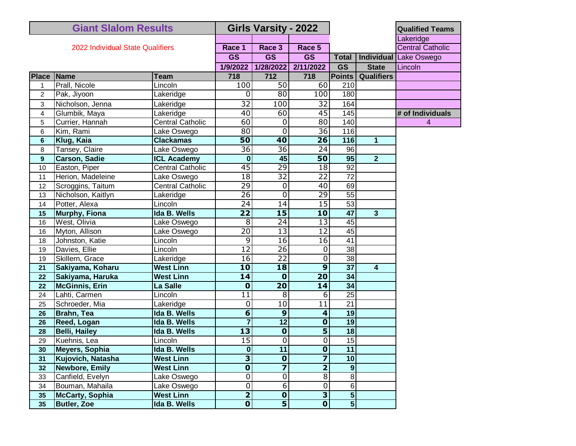| <b>Giant Slalom Results</b>      |                       |                         | Girls Varsity - 2022    |                         |                         |                         |                   | <b>Qualified Teams</b>        |
|----------------------------------|-----------------------|-------------------------|-------------------------|-------------------------|-------------------------|-------------------------|-------------------|-------------------------------|
| 2022 Individual State Qualifiers |                       |                         |                         |                         |                         |                         |                   | Lakeridge                     |
|                                  |                       |                         | Race 1                  | Race 3                  | Race 5                  |                         |                   | <b>Central Catholic</b>       |
|                                  |                       |                         | <b>GS</b>               | <b>GS</b>               | <b>GS</b>               | <b>Total</b>            |                   | <b>Individual Lake Oswego</b> |
|                                  |                       |                         | 1/9/2022                | 1/28/2022               | 2/11/2022               | <b>GS</b>               | <b>State</b>      | Lincoln                       |
| Place Name                       |                       | <b>Team</b>             | 718                     | $\overline{712}$        | 718                     | <b>Points</b>           | <b>Qualifiers</b> |                               |
| 1                                | Prall, Nicole         | Lincoln                 | 100                     | 50                      | 60                      | 210                     |                   |                               |
| $\overline{c}$                   | Pak, Jiyoon           | Lakeridge               | 0                       | $\overline{80}$         | 100                     | 180                     |                   |                               |
| 3                                | Nicholson, Jenna      | Lakeridge               | $\overline{32}$         | 100                     | 32                      | 164                     |                   |                               |
| 4                                | Glumbik, Maya         | Lakeridge               | 40                      | 60                      | $\overline{45}$         | 145                     |                   | # of Individuals              |
| 5                                | Currier, Hannah       | <b>Central Catholic</b> | 60                      | $\mathbf 0$             | 80                      | 140                     |                   | 4                             |
| 6                                | Kim, Rami             | Lake Oswego             | $\overline{80}$         | $\mathbf 0$             | $\overline{36}$         | 116                     |                   |                               |
| 6                                | Klug, Kaia            | <b>Clackamas</b>        | 50                      | 40                      | $\overline{26}$         | 116                     | 1                 |                               |
| 8                                | Tansey, Claire        | Lake Oswego             | $\overline{36}$         | $\overline{36}$         | $\overline{24}$         | 96                      |                   |                               |
| 9                                | <b>Carson, Sadie</b>  | <b>ICL Academy</b>      | $\bf{0}$                | 45                      | 50                      | 95                      | 2 <sup>1</sup>    |                               |
| 10                               | Easton, Piper         | <b>Central Catholic</b> | 45                      | $\overline{29}$         | 18                      | 92                      |                   |                               |
| 11                               | Herion, Madeleine     | Lake Oswego             | $\overline{18}$         | $\overline{32}$         | $\overline{22}$         | $\overline{72}$         |                   |                               |
| 12                               | Scroggins, Taitum     | <b>Central Catholic</b> | $\overline{29}$         | 0                       | 40                      | 69                      |                   |                               |
| 13                               | Nicholson, Kaitlyn    | Lakeridge               | $\overline{26}$         | $\overline{0}$          | 29                      | $\overline{55}$         |                   |                               |
| 14                               | Potter, Alexa         | Lincoln                 | $\overline{24}$         | 14                      | $\overline{15}$         | $\overline{53}$         |                   |                               |
| 15                               | <b>Murphy, Fiona</b>  | Ida B. Wells            | $\overline{22}$         | $\overline{15}$         | 10                      | 47                      | $\mathbf{3}$      |                               |
| 16                               | West, Olivia          | Lake Oswego             | $\overline{8}$          | $\overline{24}$         | $\overline{13}$         | 45                      |                   |                               |
| 16                               | Myton, Allison        | Lake Oswego             | $\overline{20}$         | $\overline{13}$         | $\overline{12}$         | 45                      |                   |                               |
| 18                               | Johnston, Katie       | Lincoln                 | $\overline{9}$          | 16                      | 16                      | 41                      |                   |                               |
| 19                               | Davies, Ellie         | Lincoln                 | $\overline{12}$         | $\overline{26}$         | 0                       | $\overline{38}$         |                   |                               |
| 19                               | Skillern, Grace       | Lakeridge               | $\overline{16}$         | $\overline{22}$         | $\mathbf 0$             | 38                      |                   |                               |
| 21                               | Sakiyama, Koharu      | <b>West Linn</b>        | $\overline{10}$         | 18                      | $\overline{9}$          | $\overline{37}$         | 4                 |                               |
| 22                               | Sakiyama, Haruka      | <b>West Linn</b>        | $\overline{14}$         | $\mathbf 0$             | $\overline{20}$         | $\overline{34}$         |                   |                               |
| 22                               | <b>McGinnis, Erin</b> | La Salle                | $\overline{\mathbf{0}}$ | $\overline{20}$         | 14                      | $\overline{34}$         |                   |                               |
| 24                               | Lahti, Carmen         | Lincoln                 | 11                      | 8                       | 6                       | 25                      |                   |                               |
| 25                               | Schroeder, Mia        | Lakeridge               | 0                       | 10                      | $\overline{11}$         | 21                      |                   |                               |
| 26                               | <b>Brahn, Tea</b>     | Ida B. Wells            | $\overline{\mathbf{6}}$ | $\overline{9}$          | 4                       | 19                      |                   |                               |
| 26                               | Reed, Logan           | Ida B. Wells            | $\overline{7}$          | 12                      | $\mathbf 0$             | 19                      |                   |                               |
| 28                               | <b>Belli, Hailey</b>  | <b>Ida B. Wells</b>     | $\overline{13}$         | $\overline{\mathbf{0}}$ | $\overline{\mathbf{5}}$ | 18                      |                   |                               |
| 29                               | Kuehnis, Lea          | Lincoln                 | 15                      | 0                       | 0                       | $\overline{15}$         |                   |                               |
| 30                               | Meyers, Sophia        | Ida B. Wells            | $\overline{\mathbf{0}}$ | 11                      | $\overline{\mathbf{0}}$ | 11                      |                   |                               |
| 31                               | Kujovich, Natasha     | <b>West Linn</b>        |                         | $\overline{\mathbf{0}}$ | 7                       | 10                      |                   |                               |
| 32                               | <b>Newbore, Emily</b> | <b>West Linn</b>        | $\overline{\mathbf{0}}$ | 7                       | $\overline{\mathbf{2}}$ | $\overline{9}$          |                   |                               |
| 33                               | Canfield, Evelyn      | Lake Oswego             | $\overline{0}$          | $\overline{0}$          | $\overline{8}$          | 8                       |                   |                               |
| 34                               | Bouman, Mahaila       | Lake Oswego             | $\overline{0}$          | 6                       | 0                       | $\,6$                   |                   |                               |
| 35                               | McCarty, Sophia       | <b>West Linn</b>        | $\overline{2}$          | $\mathbf 0$             | $\overline{\mathbf{3}}$ | $\overline{\mathbf{5}}$ |                   |                               |
| 35 <sub>5</sub>                  | <b>Butler, Zoe</b>    | Ida B. Wells            | $\overline{\mathbf{0}}$ | 5                       | $\overline{\mathbf{o}}$ | $\overline{\mathbf{5}}$ |                   |                               |